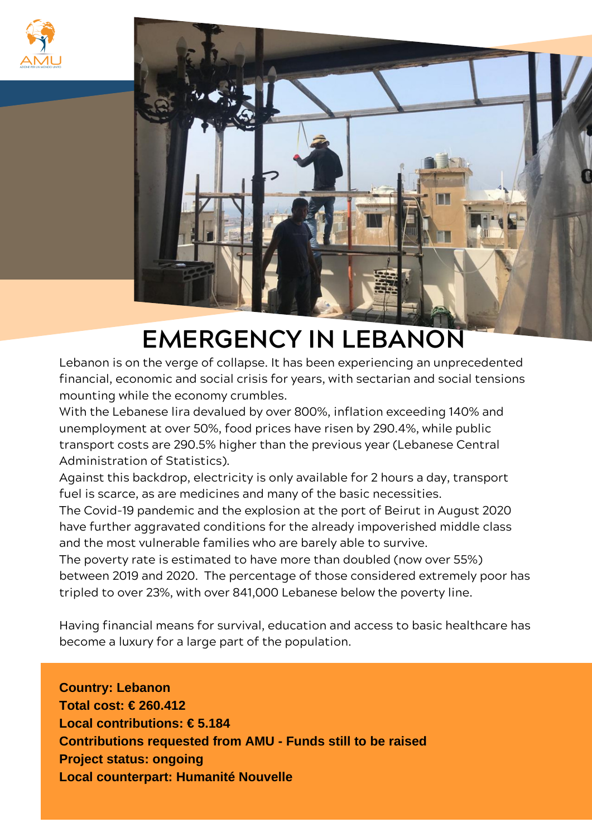



## **EMERGENCY IN LEBANON**

Lebanon is on the verge of collapse. It has been experiencing an unprecedented financial, economic and social crisis for years, with sectarian and social tensions mounting while the economy crumbles.

With the Lebanese lira devalued by over 800%, inflation exceeding 140% and unemployment at over 50%, food prices have risen by 290.4%, while public transport costs are 290.5% higher than the previous year (Lebanese Central Administration of Statistics).

Against this backdrop, electricity is only available for 2 hours a day, transport fuel is scarce, as are medicines and many of the basic necessities.

The Covid-19 pandemic and the explosion at the port of Beirut in August 2020 have further aggravated conditions for the already impoverished middle class and the most vulnerable families who are barely able to survive.

The poverty rate is estimated to have more than doubled (now over 55%) between 2019 and 2020. The percentage of those considered extremely poor has tripled to over 23%, with over 841,000 Lebanese below the poverty line.

Having financial means for survival, education and access to basic healthcare has become a luxury for a large part of the population.

**Country: Lebanon Total cost: € 260.412 Local contributions: € 5.184 Contributions requested from AMU - Funds still to be raised Project status: ongoing Local counterpart: Humanité Nouvelle**